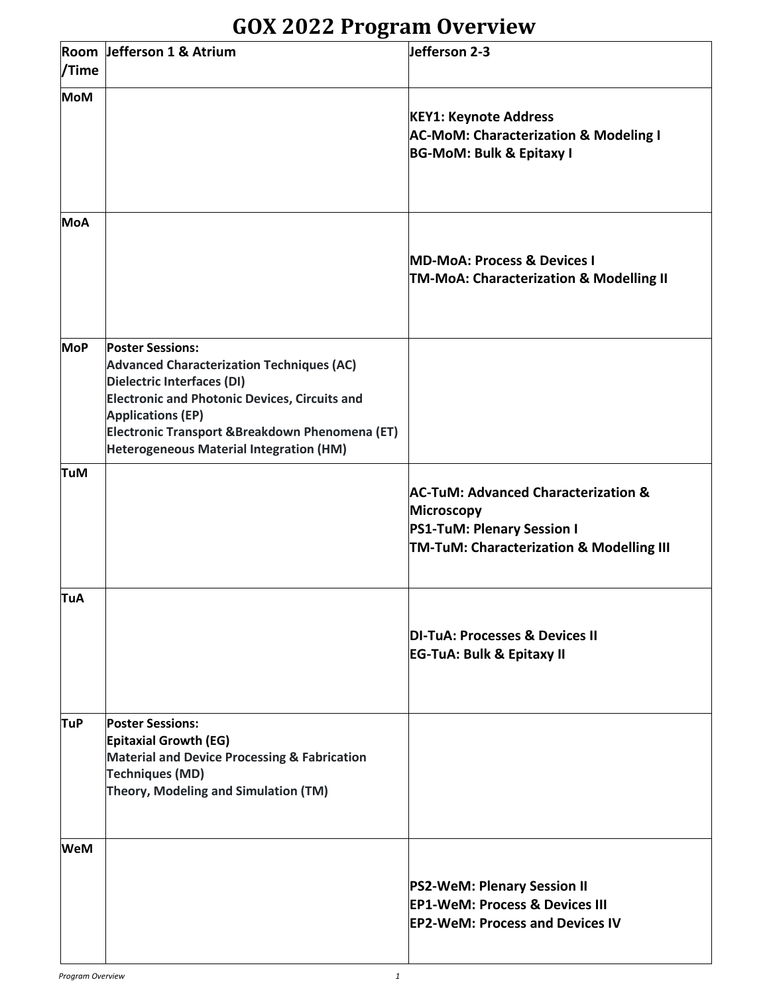## **GOX 2022 Program Overview**

| /Time      | Room Jefferson 1 & Atrium                                                                                                                                                                                                                                                                                 | Jefferson 2-3                                                                                                                                        |
|------------|-----------------------------------------------------------------------------------------------------------------------------------------------------------------------------------------------------------------------------------------------------------------------------------------------------------|------------------------------------------------------------------------------------------------------------------------------------------------------|
| <b>MoM</b> |                                                                                                                                                                                                                                                                                                           | <b>KEY1: Keynote Address</b><br><b>AC-MoM: Characterization &amp; Modeling I</b><br><b>BG-MoM: Bulk &amp; Epitaxy I</b>                              |
| <b>MoA</b> |                                                                                                                                                                                                                                                                                                           | <b>MD-MoA: Process &amp; Devices I</b><br><b>TM-MoA: Characterization &amp; Modelling II</b>                                                         |
| <b>MoP</b> | <b>Poster Sessions:</b><br><b>Advanced Characterization Techniques (AC)</b><br><b>Dielectric Interfaces (DI)</b><br><b>Electronic and Photonic Devices, Circuits and</b><br><b>Applications (EP)</b><br>Electronic Transport & Breakdown Phenomena (ET)<br><b>Heterogeneous Material Integration (HM)</b> |                                                                                                                                                      |
| <b>TuM</b> |                                                                                                                                                                                                                                                                                                           | <b>AC-TuM: Advanced Characterization &amp;</b><br><b>Microscopy</b><br><b>PS1-TuM: Plenary Session I</b><br>TM-TuM: Characterization & Modelling III |
| <b>TuA</b> |                                                                                                                                                                                                                                                                                                           | DI-TuA: Processes & Devices II<br><b>EG-TuA: Bulk &amp; Epitaxy II</b>                                                                               |
| <b>TuP</b> | <b>Poster Sessions:</b><br><b>Epitaxial Growth (EG)</b><br><b>Material and Device Processing &amp; Fabrication</b><br><b>Techniques (MD)</b><br>Theory, Modeling and Simulation (TM)                                                                                                                      |                                                                                                                                                      |
| <b>WeM</b> |                                                                                                                                                                                                                                                                                                           | <b>PS2-WeM: Plenary Session II</b><br><b>EP1-WeM: Process &amp; Devices III</b><br><b>EP2-WeM: Process and Devices IV</b>                            |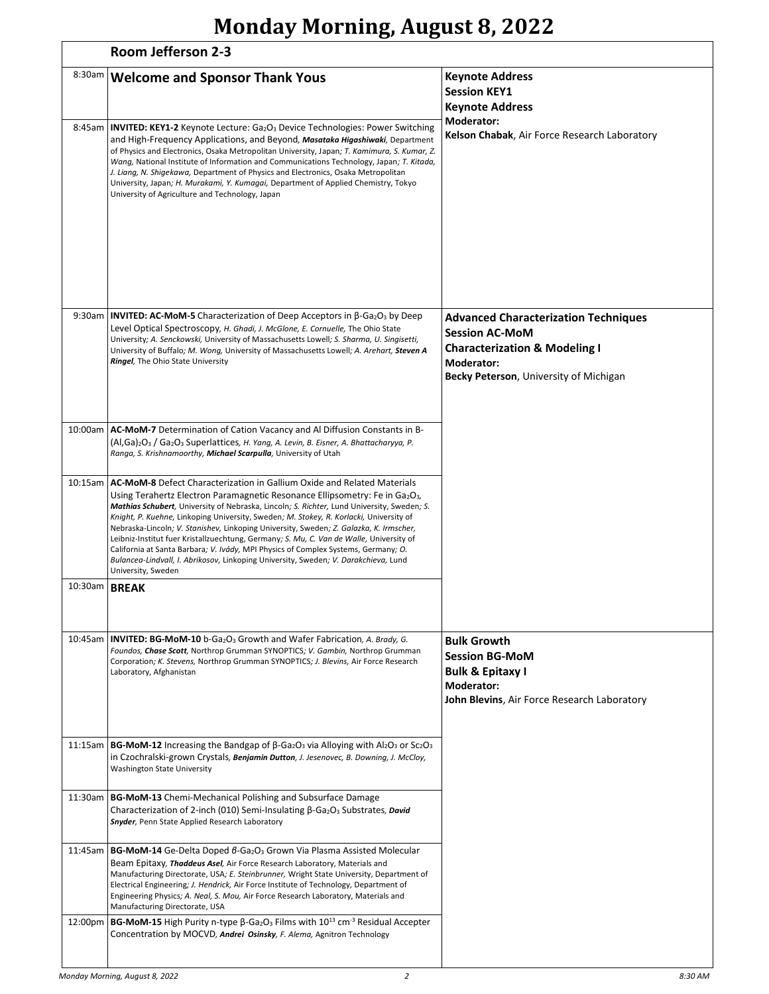# **Monday Morning, August 8, 2022**

|         | Room Jefferson 2-3                                                                                                                                                                                                                                                                                                                                                                                                                                                                                                                                                                                                                                                                                                                                           |                                                                                                                                                                          |  |
|---------|--------------------------------------------------------------------------------------------------------------------------------------------------------------------------------------------------------------------------------------------------------------------------------------------------------------------------------------------------------------------------------------------------------------------------------------------------------------------------------------------------------------------------------------------------------------------------------------------------------------------------------------------------------------------------------------------------------------------------------------------------------------|--------------------------------------------------------------------------------------------------------------------------------------------------------------------------|--|
| 8:30am  | <b>Welcome and Sponsor Thank Yous</b>                                                                                                                                                                                                                                                                                                                                                                                                                                                                                                                                                                                                                                                                                                                        | <b>Keynote Address</b><br><b>Session KEY1</b><br><b>Keynote Address</b><br>Moderator:                                                                                    |  |
|         | 8:45am <b>INVITED: KEY1-2</b> Keynote Lecture: Ga <sub>2</sub> O <sub>3</sub> Device Technologies: Power Switching<br>and High-Frequency Applications, and Beyond, Masataka Higashiwaki, Department<br>of Physics and Electronics, Osaka Metropolitan University, Japan; T. Kamimura, S. Kumar, Z.<br>Wang, National Institute of Information and Communications Technology, Japan; T. Kitada,<br>J. Liang, N. Shigekawa, Department of Physics and Electronics, Osaka Metropolitan<br>University, Japan; H. Murakami, Y. Kumagai, Department of Applied Chemistry, Tokyo<br>University of Agriculture and Technology, Japan                                                                                                                                 | Kelson Chabak, Air Force Research Laboratory                                                                                                                             |  |
|         | 9:30am <b>INVITED: AC-MoM-5</b> Characterization of Deep Acceptors in $\beta$ -Ga <sub>2</sub> O <sub>3</sub> by Deep<br>Level Optical Spectroscopy, H. Ghadi, J. McGlone, E. Cornuelle, The Ohio State<br>University; A. Senckowski, University of Massachusetts Lowell; S. Sharma, U. Singisetti,<br>University of Buffalo; M. Wong, University of Massachusetts Lowell; A. Arehart, Steven A<br>Ringel, The Ohio State University                                                                                                                                                                                                                                                                                                                         | <b>Advanced Characterization Techniques</b><br><b>Session AC-MoM</b><br><b>Characterization &amp; Modeling I</b><br>Moderator:<br>Becky Peterson, University of Michigan |  |
|         | 10:00am   AC-MoM-7 Determination of Cation Vacancy and Al Diffusion Constants in B-<br>(Al, Ga) <sub>2</sub> O <sub>3</sub> / Ga <sub>2</sub> O <sub>3</sub> Superlattices, H. Yang, A. Levin, B. Eisner, A. Bhattacharyya, P.<br>Ranga, S. Krishnamoorthy, Michael Scarpulla, University of Utah                                                                                                                                                                                                                                                                                                                                                                                                                                                            |                                                                                                                                                                          |  |
|         | 10:15am   AC-MoM-8 Defect Characterization in Gallium Oxide and Related Materials<br>Using Terahertz Electron Paramagnetic Resonance Ellipsometry: Fe in Ga2O <sub>3</sub> ,<br>Mathias Schubert, University of Nebraska, Lincoln; S. Richter, Lund University, Sweden; S.<br>Knight, P. Kuehne, Linkoping University, Sweden; M. Stokey, R. Korlacki, University of<br>Nebraska-Lincoln; V. Stanishev, Linkoping University, Sweden; Z. Galazka, K. Irmscher,<br>Leibniz-Institut fuer Kristallzuechtung, Germany; S. Mu, C. Van de Walle, University of<br>California at Santa Barbara; V. Ivády, MPI Physics of Complex Systems, Germany; O.<br>Bulancea-Lindvall, I. Abrikosov, Linkoping University, Sweden; V. Darakchieva, Lund<br>University, Sweden |                                                                                                                                                                          |  |
| 10:30am | <b>BREAK</b>                                                                                                                                                                                                                                                                                                                                                                                                                                                                                                                                                                                                                                                                                                                                                 |                                                                                                                                                                          |  |
|         | 10:45am   <b>INVITED: BG-MoM-10</b> b-Ga <sub>2</sub> O <sub>3</sub> Growth and Wafer Fabrication, A. Brady, G.<br>Foundos, Chase Scott, Northrop Grumman SYNOPTICS; V. Gambin, Northrop Grumman<br>Corporation; K. Stevens, Northrop Grumman SYNOPTICS; J. Blevins, Air Force Research<br>Laboratory, Afghanistan                                                                                                                                                                                                                                                                                                                                                                                                                                           | <b>Bulk Growth</b><br><b>Session BG-MoM</b><br><b>Bulk &amp; Epitaxy I</b><br>Moderator:<br>John Blevins, Air Force Research Laboratory                                  |  |
|         | 11:15am   <b>BG-MoM-12</b> Increasing the Bandgap of $\beta$ -Ga <sub>2</sub> O <sub>3</sub> via Alloying with Al <sub>2</sub> O <sub>3</sub> or Sc <sub>2</sub> O <sub>3</sub><br>in Czochralski-grown Crystals, Benjamin Dutton, J. Jesenovec, B. Downing, J. McCloy,<br>Washington State University                                                                                                                                                                                                                                                                                                                                                                                                                                                       |                                                                                                                                                                          |  |
|         | 11:30am   BG-MoM-13 Chemi-Mechanical Polishing and Subsurface Damage<br>Characterization of 2-inch (010) Semi-Insulating $\beta$ -Ga <sub>2</sub> O <sub>3</sub> Substrates, <i>David</i><br>Snyder, Penn State Applied Research Laboratory                                                                                                                                                                                                                                                                                                                                                                                                                                                                                                                  |                                                                                                                                                                          |  |
|         | 11:45am   BG-MoM-14 Ge-Delta Doped $\beta$ -Ga <sub>2</sub> O <sub>3</sub> Grown Via Plasma Assisted Molecular<br>Beam Epitaxy, Thaddeus Asel, Air Force Research Laboratory, Materials and<br>Manufacturing Directorate, USA; E. Steinbrunner, Wright State University, Department of<br>Electrical Engineering; J. Hendrick, Air Force Institute of Technology, Department of<br>Engineering Physics; A. Neal, S. Mou, Air Force Research Laboratory, Materials and<br>Manufacturing Directorate, USA                                                                                                                                                                                                                                                      |                                                                                                                                                                          |  |
| 12:00pm | <b>BG-MoM-15</b> High Purity n-type $\beta$ -Ga <sub>2</sub> O <sub>3</sub> Films with 10 <sup>13</sup> cm <sup>-3</sup> Residual Accepter<br>Concentration by MOCVD, Andrei Osinsky, F. Alema, Agnitron Technology                                                                                                                                                                                                                                                                                                                                                                                                                                                                                                                                          |                                                                                                                                                                          |  |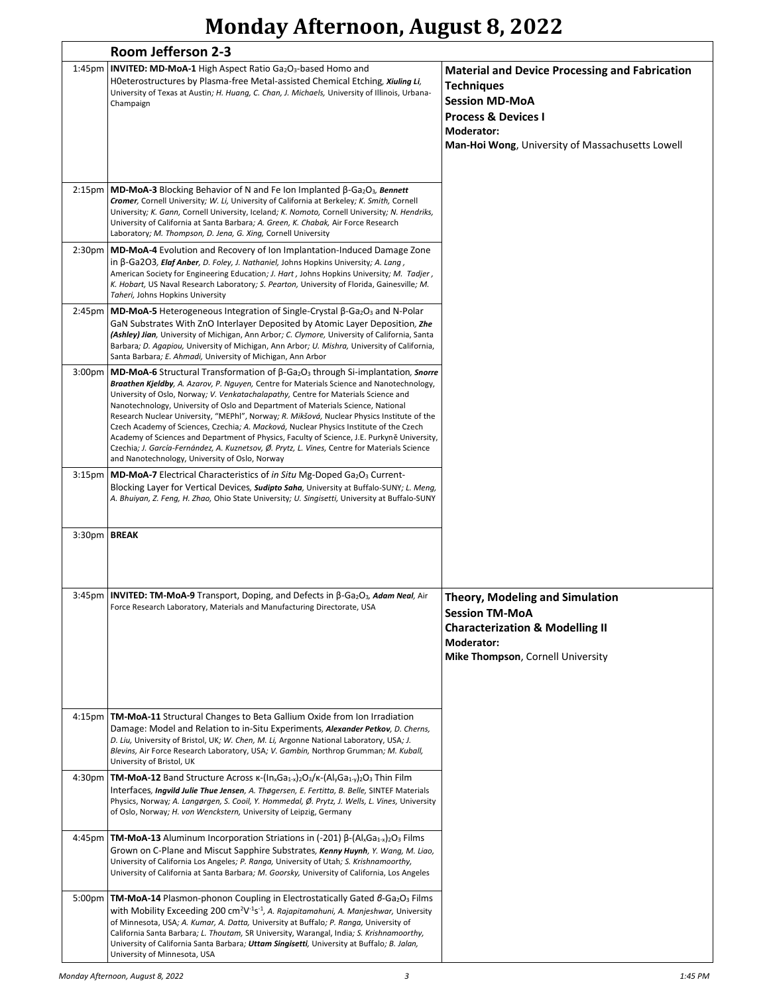## **Monday Afternoon, August 8, 2022**

| Room Jefferson 2-3 |                                                                                                                                                                                                                                                                                                                                                                                                                                                                                                                                                                                                                                                                                                                                                                                                                                            |                                                                                                                                                                                                         |
|--------------------|--------------------------------------------------------------------------------------------------------------------------------------------------------------------------------------------------------------------------------------------------------------------------------------------------------------------------------------------------------------------------------------------------------------------------------------------------------------------------------------------------------------------------------------------------------------------------------------------------------------------------------------------------------------------------------------------------------------------------------------------------------------------------------------------------------------------------------------------|---------------------------------------------------------------------------------------------------------------------------------------------------------------------------------------------------------|
| 1:45 <sub>pm</sub> | <b>INVITED: MD-MoA-1 High Aspect Ratio Ga2O3-based Homo and</b><br>HOeterostructures by Plasma-free Metal-assisted Chemical Etching, Xiuling Li,<br>University of Texas at Austin; H. Huang, C. Chan, J. Michaels, University of Illinois, Urbana-<br>Champaign                                                                                                                                                                                                                                                                                                                                                                                                                                                                                                                                                                            | <b>Material and Device Processing and Fabrication</b><br><b>Techniques</b><br><b>Session MD-MoA</b><br><b>Process &amp; Devices I</b><br>Moderator:<br>Man-Hoi Wong, University of Massachusetts Lowell |
| 2:15 <sub>pm</sub> | <b>MD-MoA-3</b> Blocking Behavior of N and Fe Ion Implanted $\beta$ -Ga <sub>2</sub> O <sub>3</sub> , Bennett<br>Cromer, Cornell University; W. Li, University of California at Berkeley; K. Smith, Cornell<br>University; K. Gann, Cornell University, Iceland; K. Nomoto, Cornell University; N. Hendriks,<br>University of California at Santa Barbara; A. Green, K. Chabak, Air Force Research<br>Laboratory; M. Thompson, D. Jena, G. Xing, Cornell University                                                                                                                                                                                                                                                                                                                                                                        |                                                                                                                                                                                                         |
| 2:30 <sub>pm</sub> | <b>MD-MoA-4</b> Evolution and Recovery of Ion Implantation-Induced Damage Zone<br>in $\beta$ -Ga2O3, Elaf Anber, D. Foley, J. Nathaniel, Johns Hopkins University; A. Lang,<br>American Society for Engineering Education; J. Hart, Johns Hopkins University; M. Tadjer,<br>K. Hobart, US Naval Research Laboratory; S. Pearton, University of Florida, Gainesville; M.<br>Taheri, Johns Hopkins University                                                                                                                                                                                                                                                                                                                                                                                                                                |                                                                                                                                                                                                         |
| 2:45 <sub>pm</sub> | <b>MD-MoA-5</b> Heterogeneous Integration of Single-Crystal $\beta$ -Ga <sub>2</sub> O <sub>3</sub> and N-Polar<br>GaN Substrates With ZnO Interlayer Deposited by Atomic Layer Deposition, Zhe<br>(Ashley) Jian, University of Michigan, Ann Arbor; C. Clymore, University of California, Santa<br>Barbara; D. Agapiou, University of Michigan, Ann Arbor; U. Mishra, University of California,<br>Santa Barbara; E. Ahmadi, University of Michigan, Ann Arbor                                                                                                                                                                                                                                                                                                                                                                            |                                                                                                                                                                                                         |
| 3:00 <sub>pm</sub> | <b>MD-MoA-6</b> Structural Transformation of $\beta$ -Ga <sub>2</sub> O <sub>3</sub> through Si-implantation, <i>Snorre</i><br>Braathen Kjeldby, A. Azarov, P. Nguyen, Centre for Materials Science and Nanotechnology,<br>University of Oslo, Norway; V. Venkatachalapathy, Centre for Materials Science and<br>Nanotechnology, University of Oslo and Department of Materials Science, National<br>Research Nuclear University, "MEPhl", Norway; R. Mikšová, Nuclear Physics Institute of the<br>Czech Academy of Sciences, Czechia; A. Macková, Nuclear Physics Institute of the Czech<br>Academy of Sciences and Department of Physics, Faculty of Science, J.E. Purkyně University,<br>Czechia; J. García-Fernández, A. Kuznetsov, Ø. Prytz, L. Vines, Centre for Materials Science<br>and Nanotechnology, University of Oslo, Norway |                                                                                                                                                                                                         |
| 3:15 <sub>pm</sub> | <b>MD-MoA-7</b> Electrical Characteristics of in Situ Mg-Doped Ga <sub>2</sub> O <sub>3</sub> Current-<br>Blocking Layer for Vertical Devices, Sudipto Saha, University at Buffalo-SUNY; L. Meng,<br>A. Bhuiyan, Z. Feng, H. Zhao, Ohio State University; U. Singisetti, University at Buffalo-SUNY                                                                                                                                                                                                                                                                                                                                                                                                                                                                                                                                        |                                                                                                                                                                                                         |
| 3:30pm BREAK       |                                                                                                                                                                                                                                                                                                                                                                                                                                                                                                                                                                                                                                                                                                                                                                                                                                            |                                                                                                                                                                                                         |
|                    | 3:45pm   INVITED: TM-MoA-9 Transport, Doping, and Defects in β-Ga2O3, Adam Neal, Air<br>Force Research Laboratory, Materials and Manufacturing Directorate, USA                                                                                                                                                                                                                                                                                                                                                                                                                                                                                                                                                                                                                                                                            | <b>Theory, Modeling and Simulation</b><br><b>Session TM-MoA</b><br><b>Characterization &amp; Modelling II</b><br>Moderator:<br>Mike Thompson, Cornell University                                        |
| 4:15 <sub>pm</sub> | <b>TM-MoA-11</b> Structural Changes to Beta Gallium Oxide from Ion Irradiation<br>Damage: Model and Relation to in-Situ Experiments, Alexander Petkov, D. Cherns,<br>D. Liu, University of Bristol, UK; W. Chen, M. Li, Argonne National Laboratory, USA; J.<br>Blevins, Air Force Research Laboratory, USA; V. Gambin, Northrop Grumman; M. Kuball,<br>University of Bristol, UK                                                                                                                                                                                                                                                                                                                                                                                                                                                          |                                                                                                                                                                                                         |
| 4:30 <sub>pm</sub> | <b>TM-MoA-12</b> Band Structure Across $\kappa$ - $\left(\frac{\ln_{x}Ga_{1-x}}{2}\right)$ $O_{3}/\kappa$ - $\left(\frac{\ln_{y}Ga_{1-y}}{2}\right)$ and Film<br>Interfaces, Ingvild Julie Thue Jensen, A. Thøgersen, E. Fertitta, B. Belle, SINTEF Materials<br>Physics, Norway; A. Langørgen, S. Cooil, Y. Hommedal, Ø. Prytz, J. Wells, L. Vines, University<br>of Oslo, Norway; H. von Wenckstern, University of Leipzig, Germany                                                                                                                                                                                                                                                                                                                                                                                                      |                                                                                                                                                                                                         |
| 4:45pm             | <b>TM-MoA-13</b> Aluminum Incorporation Striations in (-201) $\beta$ -(Al <sub>x</sub> Ga <sub>1-x</sub> ) <sub>2</sub> O <sub>3</sub> Films<br>Grown on C-Plane and Miscut Sapphire Substrates, Kenny Huynh, Y. Wang, M. Liao,<br>University of California Los Angeles; P. Ranga, University of Utah; S. Krishnamoorthy,<br>University of California at Santa Barbara; M. Goorsky, University of California, Los Angeles                                                                                                                                                                                                                                                                                                                                                                                                                  |                                                                                                                                                                                                         |
| 5:00 <sub>pm</sub> | <b>TM-MoA-14</b> Plasmon-phonon Coupling in Electrostatically Gated $6$ -Ga <sub>2</sub> O <sub>3</sub> Films<br>with Mobility Exceeding 200 cm <sup>2</sup> V <sup>-1</sup> s <sup>-1</sup> , A. Rajapitamahuni, A. Manjeshwar, University<br>of Minnesota, USA; A. Kumar, A. Datta, University at Buffalo; P. Ranga, University of<br>California Santa Barbara; L. Thoutam, SR University, Warangal, India; S. Krishnamoorthy,<br>University of California Santa Barbara; Uttam Singisetti, University at Buffalo; B. Jalan,<br>University of Minnesota, USA                                                                                                                                                                                                                                                                             |                                                                                                                                                                                                         |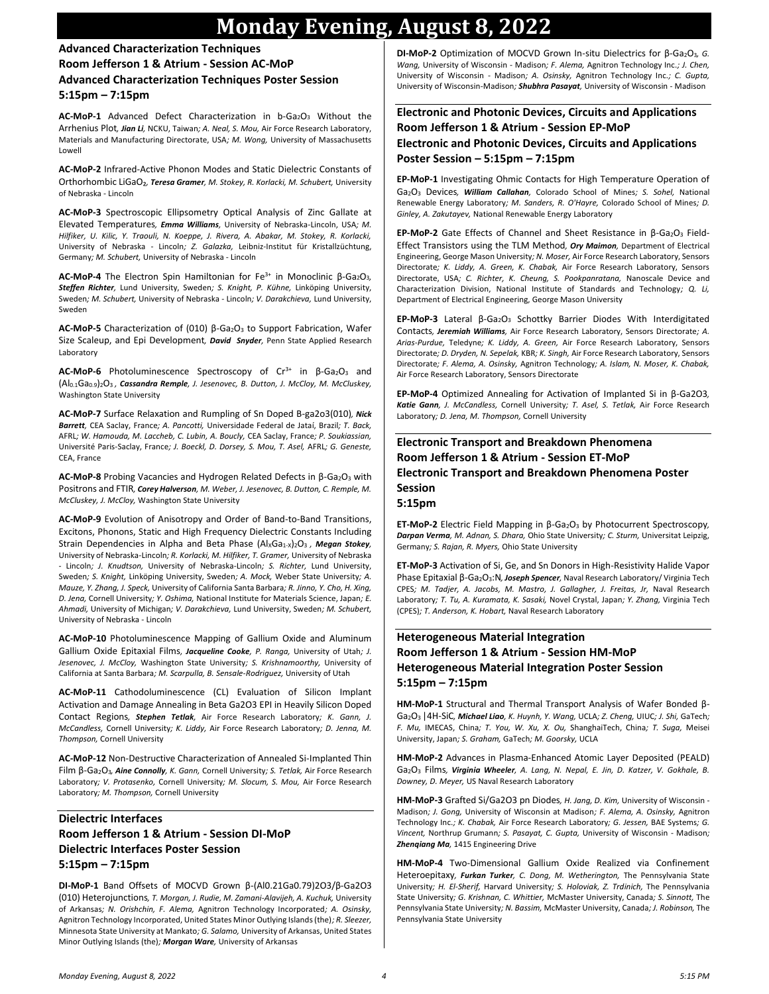## **Monday Evening, August 8, 2022**

#### **Advanced Characterization Techniques Room Jefferson 1 & Atrium - Session AC-MoP Advanced Characterization Techniques Poster Session 5:15pm – 7:15pm**

AC-MoP-1 Advanced Defect Characterization in b-Ga<sub>2</sub>O<sub>3</sub> Without the Arrhenius Plot*, Jian Li,* NCKU, Taiwan*; A. Neal, S. Mou,* Air Force Research Laboratory, Materials and Manufacturing Directorate, USA*; M. Wong,* University of Massachusetts Lowell

**AC-MoP-2** Infrared-Active Phonon Modes and Static Dielectric Constants of Orthorhombic LiGaO₂*, Teresa Gramer, M. Stokey, R. Korlacki, M. Schubert,* University of Nebraska - Lincoln

**AC-MoP-3** Spectroscopic Ellipsometry Optical Analysis of Zinc Gallate at Elevated Temperatures*, Emma Williams,* University of Nebraska-Lincoln, USA*; M. Hilfiker, U. Kilic, Y. Traouli, N. Koeppe, J. Rivera, A. Abakar, M. Stokey, R. Korlacki,*  University of Nebraska - Lincoln*; Z. Galazka,* Leibniz-Institut für Kristallzüchtung, Germany*; M. Schubert,* University of Nebraska - Lincoln

**AC-MoP-4** The Electron Spin Hamiltonian for Fe<sup>3+</sup> in Monoclinic β-Ga<sub>2</sub>O<sub>3</sub>, *Steffen Richter,* Lund University, Sweden*; S. Knight, P. Kühne,* Linköping University, Sweden*; M. Schubert,* University of Nebraska - Lincoln*; V. Darakchieva,* Lund University, Sweden

AC-MoP-5 Characterization of (010) β-Ga<sub>2</sub>O<sub>3</sub> to Support Fabrication, Wafer Size Scaleup, and Epi Development*, David Snyder,* Penn State Applied Research Laboratory

**AC-MoP-6** Photoluminescence Spectroscopy of Cr<sup>3+</sup> in β-Ga<sub>2</sub>O<sub>3</sub> and (Al0.1Ga0.9)2O3 *, Cassandra Remple, J. Jesenovec, B. Dutton, J. McCloy, M. McCluskey,*  Washington State University

**AC-MoP-7** Surface Relaxation and Rumpling of Sn Doped B-ga2o3(010)*, Nick Barrett,* CEA Saclay, France*; A. Pancotti,* Universidade Federal de Jataí, Brazil*; T. Back,*  AFRL*; W. Hamouda, M. Laccheb, C. Lubin, A. Boucly,* CEA Saclay, France*; P. Soukiassian,*  Université Paris-Saclay, France*; J. Boeckl, D. Dorsey, S. Mou, T. Asel,* AFRL*; G. Geneste,*  CEA, France

AC-MoP-8 Probing Vacancies and Hydrogen Related Defects in β-Ga<sub>2</sub>O<sub>3</sub> with Positrons and FTIR*, Corey Halverson, M. Weber, J. Jesenovec, B. Dutton, C. Remple, M. McCluskey, J. McCloy,* Washington State University

**AC-MoP-9** Evolution of Anisotropy and Order of Band-to-Band Transitions, Excitons, Phonons, Static and High Frequency Dielectric Constants Including Strain Dependencies in Alpha and Beta Phase (Al<sub>X</sub>Ga<sub>1-X</sub>)<sub>2</sub>O<sub>3</sub>, *Megan Stokey*, University of Nebraska-Lincoln*; R. Korlacki, M. Hilfiker, T. Gramer,* University of Nebraska - Lincoln*; J. Knudtson,* University of Nebraska-Lincoln*; S. Richter,* Lund University, Sweden*; S. Knight,* Linköping University, Sweden*; A. Mock,* Weber State University*; A. Mauze, Y. Zhang, J. Speck,* University of California Santa Barbara*; R. Jinno, Y. Cho, H. Xing, D. Jena,* Cornell University*; Y. Oshima,* National Institute for Materials Science, Japan*; E. Ahmadi,* University of Michigan*; V. Darakchieva,* Lund University, Sweden*; M. Schubert,*  University of Nebraska - Lincoln

**AC-MoP-10** Photoluminescence Mapping of Gallium Oxide and Aluminum Gallium Oxide Epitaxial Films*, Jacqueline Cooke, P. Ranga,* University of Utah*; J. Jesenovec, J. McCloy,* Washington State University*; S. Krishnamoorthy,* University of California at Santa Barbara*; M. Scarpulla, B. Sensale-Rodriguez,* University of Utah

**AC-MoP-11** Cathodoluminescence (CL) Evaluation of Silicon Implant Activation and Damage Annealing in Beta Ga2O3 EPI in Heavily Silicon Doped Contact Regions*, Stephen Tetlak,* Air Force Research Laboratory*; K. Gann, J. McCandless,* Cornell University*; K. Liddy,* Air Force Research Laboratory*; D. Jenna, M. Thompson,* Cornell University

**AC-MoP-12** Non-Destructive Characterization of Annealed Si-Implanted Thin Film β-Ga2O3*, Aine Connolly, K. Gann,* Cornell University*; S. Tetlak,* Air Force Research Laboratory*; V. Protasenko,* Cornell University*; M. Slocum, S. Mou,* Air Force Research Laboratory*; M. Thompson,* Cornell University

#### **Dielectric Interfaces Room Jefferson 1 & Atrium - Session DI-MoP Dielectric Interfaces Poster Session 5:15pm – 7:15pm**

**DI-MoP-1** Band Offsets of MOCVD Grown β-(Al0.21Ga0.79)2O3/β-Ga2O3 (010) Heterojunctions*, T. Morgan, J. Rudie, M. Zamani-Alavijeh, A. Kuchuk,* University of Arkansas*; N. Orishchin, F. Alema,* Agnitron Technology Incorporated*; A. Osinsky,*  Agnitron Technology Incorporated, United States Minor Outlying Islands (the)*; R. Sleezer,*  Minnesota State University at Mankato*; G. Salamo,* University of Arkansas, United States Minor Outlying Islands (the)*; Morgan Ware,* University of Arkansas

**DI-MoP-2** Optimization of MOCVD Grown In-situ Dielectrics for β-Ga<sub>2</sub>O<sub>3</sub>, *G*. *Wang,* University of Wisconsin - Madison*; F. Alema,* Agnitron Technology Inc.*; J. Chen,*  University of Wisconsin - Madison*; A. Osinsky,* Agnitron Technology Inc.*; C. Gupta,*  University of Wisconsin-Madison*; Shubhra Pasayat,* University of Wisconsin - Madison

#### **Electronic and Photonic Devices, Circuits and Applications Room Jefferson 1 & Atrium - Session EP-MoP Electronic and Photonic Devices, Circuits and Applications Poster Session – 5:15pm – 7:15pm**

**EP-MoP-1** Investigating Ohmic Contacts for High Temperature Operation of Ga2O<sup>3</sup> Devices*, William Callahan,* Colorado School of Mines*; S. Sohel,* National Renewable Energy Laboratory*; M. Sanders, R. O'Hayre,* Colorado School of Mines*; D. Ginley, A. Zakutayev,* National Renewable Energy Laboratory

**EP-MoP-2** Gate Effects of Channel and Sheet Resistance in β-Ga<sub>2</sub>O<sub>3</sub> Field-Effect Transistors using the TLM Method*, Ory Maimon,* Department of Electrical Engineering, George Mason University*; N. Moser,* Air Force Research Laboratory, Sensors Directorate*; K. Liddy, A. Green, K. Chabak,* Air Force Research Laboratory, Sensors Directorate, USA*; C. Richter, K. Cheung, S. Pookpanratana,* Nanoscale Device and Characterization Division, National Institute of Standards and Technology*; Q. Li,*  Department of Electrical Engineering, George Mason University

**EP-MoP-3** Lateral β-Ga<sub>2</sub>O<sub>3</sub> Schottky Barrier Diodes With Interdigitated Contacts*, Jeremiah Williams,* Air Force Research Laboratory, Sensors Directorate*; A. Arias-Purdue,* Teledyne*; K. Liddy, A. Green,* Air Force Research Laboratory, Sensors Directorate*; D. Dryden, N. Sepelak,* KBR*; K. Singh,* Air Force Research Laboratory, Sensors Directorate*; F. Alema, A. Osinsky,* Agnitron Technology*; A. Islam, N. Moser, K. Chabak,*  Air Force Research Laboratory, Sensors Directorate

**EP-MoP-4** Optimized Annealing for Activation of Implanted Si in β-Ga2O3*, Katie Gann, J. McCandless,* Cornell University*; T. Asel, S. Tetlak,* Air Force Research Laboratory*; D. Jena, M. Thompson,* Cornell University

#### **Electronic Transport and Breakdown Phenomena Room Jefferson 1 & Atrium - Session ET-MoP Electronic Transport and Breakdown Phenomena Poster Session**

#### **5:15pm**

**ET-MoP-2** Electric Field Mapping in β-Ga2O<sup>3</sup> by Photocurrent Spectroscopy*, Darpan Verma, M. Adnan, S. Dhara,* Ohio State University*; C. Sturm,* Universitat Leipzig, Germany*; S. Rajan, R. Myers,* Ohio State University

**ET-MoP-3** Activation of Si, Ge, and Sn Donors in High-Resistivity Halide Vapor Phase Epitaxial β-Ga2O3:N*, Joseph Spencer,* Naval Research Laboratory/ Virginia Tech CPES*; M. Tadjer, A. Jacobs, M. Mastro, J. Gallagher, J. Freitas, Jr,* Naval Research Laboratory*; T. Tu, A. Kuramata, K. Sasaki,* Novel Crystal, Japan*; Y. Zhang,* Virginia Tech (CPES)*; T. Anderson, K. Hobart,* Naval Research Laboratory

#### **Heterogeneous Material Integration Room Jefferson 1 & Atrium - Session HM-MoP Heterogeneous Material Integration Poster Session 5:15pm – 7:15pm**

**HM-MoP-1** Structural and Thermal Transport Analysis of Wafer Bonded β-Ga2O3 |4H-SiC*, Michael Liao, K. Huynh, Y. Wang,* UCLA*; Z. Cheng,* UIUC*; J. Shi,* GaTech*; F. Mu,* IMECAS, China*; T. You, W. Xu, X. Ou,* ShanghaiTech, China*; T. Suga,* Meisei University, Japan*; S. Graham,* GaTech*; M. Goorsky,* UCLA

**HM-MoP-2** Advances in Plasma-Enhanced Atomic Layer Deposited (PEALD) Ga2O<sup>3</sup> Films*, Virginia Wheeler, A. Lang, N. Nepal, E. Jin, D. Katzer, V. Gokhale, B. Downey, D. Meyer,* US Naval Research Laboratory

**HM-MoP-3** Grafted Si/Ga2O3 pn Diodes*, H. Jang, D. Kim,* University of Wisconsin - Madison*; J. Gong,* University of Wisconsin at Madison*; F. Alema, A. Osinsky,* Agnitron Technology Inc.*; K. Chabak,* Air Force Research Laboratory*; G. Jessen,* BAE Systems*; G. Vincent,* Northrup Grumann*; S. Pasayat, C. Gupta,* University of Wisconsin - Madison*; Zhenqiang Ma,* 1415 Engineering Drive

**HM-MoP-4** Two-Dimensional Gallium Oxide Realized via Confinement Heteroepitaxy*, Furkan Turker, C. Dong, M. Wetherington,* The Pennsylvania State University*; H. El-Sherif,* Harvard University*; S. Holoviak, Z. Trdinich,* The Pennsylvania State University*; G. Krishnan, C. Whittier,* McMaster University, Canada*; S. Sinnott,* The Pennsylvania State University*; N. Bassim,* McMaster University, Canada*; J. Robinson,* The Pennsylvania State University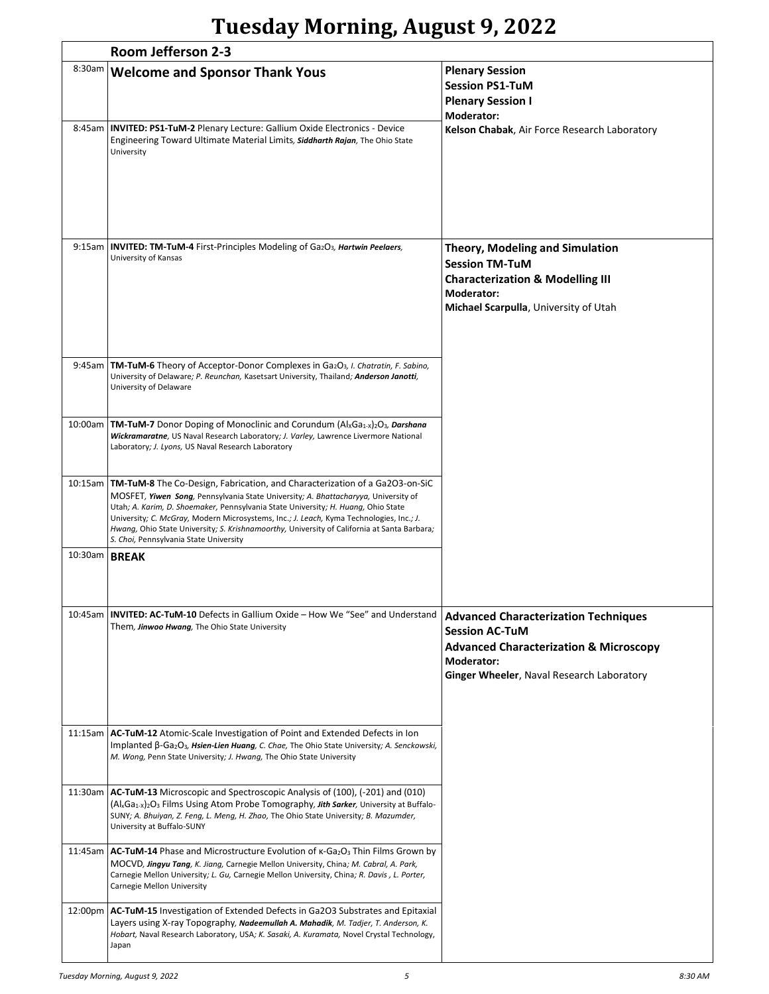# **Tuesday Morning, August 9, 2022**

|               | Room Jefferson 2-3                                                                                                                                                                                                                                                                                                                                                                                                                                                                                   |                                                                                                                                                                                      |  |
|---------------|------------------------------------------------------------------------------------------------------------------------------------------------------------------------------------------------------------------------------------------------------------------------------------------------------------------------------------------------------------------------------------------------------------------------------------------------------------------------------------------------------|--------------------------------------------------------------------------------------------------------------------------------------------------------------------------------------|--|
| 8:30am        | <b>Welcome and Sponsor Thank Yous</b>                                                                                                                                                                                                                                                                                                                                                                                                                                                                | <b>Plenary Session</b><br><b>Session PS1-TuM</b><br><b>Plenary Session I</b><br><b>Moderator:</b>                                                                                    |  |
| 8:45am        | <b>INVITED: PS1-TuM-2 Plenary Lecture: Gallium Oxide Electronics - Device</b><br>Engineering Toward Ultimate Material Limits, Siddharth Rajan, The Ohio State<br>University                                                                                                                                                                                                                                                                                                                          | Kelson Chabak, Air Force Research Laboratory                                                                                                                                         |  |
| 9:15am        | INVITED: TM-TuM-4 First-Principles Modeling of Ga2O3, Hartwin Peelaers,<br>University of Kansas                                                                                                                                                                                                                                                                                                                                                                                                      | <b>Theory, Modeling and Simulation</b><br><b>Session TM-TuM</b><br><b>Characterization &amp; Modelling III</b><br>Moderator:<br>Michael Scarpulla, University of Utah                |  |
| 9:45am        | <b>TM-TuM-6</b> Theory of Acceptor-Donor Complexes in Ga <sub>2</sub> O <sub>3</sub> , <i>I. Chatratin, F. Sabino</i> ,<br>University of Delaware; P. Reunchan, Kasetsart University, Thailand; Anderson Janotti,<br>University of Delaware                                                                                                                                                                                                                                                          |                                                                                                                                                                                      |  |
| 10:00am       | <b>TM-TuM-7</b> Donor Doping of Monoclinic and Corundum $(A \times Ca1 \times 2O3$ , <i>Darshana</i><br>Wickramaratne, US Naval Research Laboratory; J. Varley, Lawrence Livermore National<br>Laboratory; J. Lyons, US Naval Research Laboratory                                                                                                                                                                                                                                                    |                                                                                                                                                                                      |  |
|               | 10:15am   TM-TuM-8 The Co-Design, Fabrication, and Characterization of a Ga2O3-on-SiC<br>MOSFET, Yiwen Song, Pennsylvania State University; A. Bhattacharyya, University of<br>Utah; A. Karim, D. Shoemaker, Pennsylvania State University; H. Huang, Ohio State<br>University; C. McGray, Modern Microsystems, Inc.; J. Leach, Kyma Technologies, Inc.; J.<br>Hwang, Ohio State University; S. Krishnamoorthy, University of California at Santa Barbara;<br>S. Choi, Pennsylvania State University |                                                                                                                                                                                      |  |
| 10:30am BREAK |                                                                                                                                                                                                                                                                                                                                                                                                                                                                                                      |                                                                                                                                                                                      |  |
| 10:45am       | <b>INVITED: AC-TuM-10</b> Defects in Gallium Oxide – How We "See" and Understand<br>Them, Jinwoo Hwang, The Ohio State University                                                                                                                                                                                                                                                                                                                                                                    | <b>Advanced Characterization Techniques</b><br><b>Session AC-TuM</b><br><b>Advanced Characterization &amp; Microscopy</b><br>Moderator:<br>Ginger Wheeler, Naval Research Laboratory |  |
|               | 11:15am   AC-TuM-12 Atomic-Scale Investigation of Point and Extended Defects in Ion<br>Implanted $\beta$ -Ga <sub>2</sub> O <sub>3</sub> , Hsien-Lien Huang, C. Chae, The Ohio State University; A. Senckowski,<br>M. Wong, Penn State University; J. Hwang, The Ohio State University                                                                                                                                                                                                               |                                                                                                                                                                                      |  |
| 11:30am       | AC-TuM-13 Microscopic and Spectroscopic Analysis of (100), (-201) and (010)<br>(Al <sub>x</sub> Ga <sub>1</sub> <sub>x</sub> ) <sub>2</sub> O <sub>3</sub> Films Using Atom Probe Tomography, Jith Sarker, University at Buffalo-<br>SUNY; A. Bhuiyan, Z. Feng, L. Meng, H. Zhao, The Ohio State University; B. Mazumder,<br>University at Buffalo-SUNY                                                                                                                                              |                                                                                                                                                                                      |  |
| 11:45am       | <b>AC-TuM-14</b> Phase and Microstructure Evolution of $\kappa$ -Ga <sub>2</sub> O <sub>3</sub> Thin Films Grown by<br>MOCVD, Jingyu Tang, K. Jiang, Carnegie Mellon University, China; M. Cabral, A. Park,<br>Carnegie Mellon University; L. Gu, Carnegie Mellon University, China; R. Davis, L. Porter,<br>Carnegie Mellon University                                                                                                                                                              |                                                                                                                                                                                      |  |
| 12:00pm       | <b>AC-TuM-15</b> Investigation of Extended Defects in Ga2O3 Substrates and Epitaxial<br>Layers using X-ray Topography, Nadeemullah A. Mahadik, M. Tadjer, T. Anderson, K.<br>Hobart, Naval Research Laboratory, USA; K. Sasaki, A. Kuramata, Novel Crystal Technology,<br>Japan                                                                                                                                                                                                                      |                                                                                                                                                                                      |  |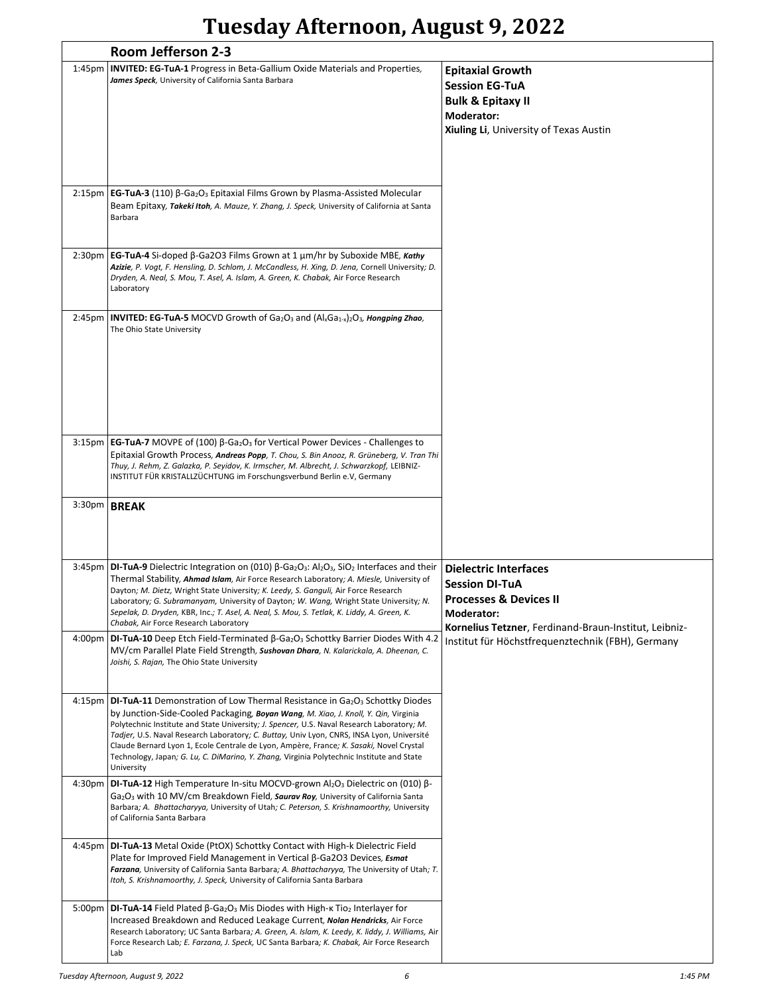## **Tuesday Afternoon, August 9, 2022**

|                    | Room Jefferson 2-3                                                                                                                                                                                                                                                                                                                                                                                                                                                                                                                                                                                |                                                                                                                                          |
|--------------------|---------------------------------------------------------------------------------------------------------------------------------------------------------------------------------------------------------------------------------------------------------------------------------------------------------------------------------------------------------------------------------------------------------------------------------------------------------------------------------------------------------------------------------------------------------------------------------------------------|------------------------------------------------------------------------------------------------------------------------------------------|
| 1:45 <sub>pm</sub> | INVITED: EG-TuA-1 Progress in Beta-Gallium Oxide Materials and Properties,<br>James Speck, University of California Santa Barbara                                                                                                                                                                                                                                                                                                                                                                                                                                                                 | <b>Epitaxial Growth</b><br><b>Session EG-TuA</b><br><b>Bulk &amp; Epitaxy II</b><br>Moderator:<br>Xiuling Li, University of Texas Austin |
|                    | 2:15pm   EG-TuA-3 (110) $\beta$ -Ga <sub>2</sub> O <sub>3</sub> Epitaxial Films Grown by Plasma-Assisted Molecular<br>Beam Epitaxy, Takeki Itoh, A. Mauze, Y. Zhang, J. Speck, University of California at Santa<br>Barbara                                                                                                                                                                                                                                                                                                                                                                       |                                                                                                                                          |
| 2:30 <sub>pm</sub> | <b>EG-TuA-4</b> Si-doped $\beta$ -Ga2O3 Films Grown at 1 $\mu$ m/hr by Suboxide MBE, Kathy<br>Azizie, P. Vogt, F. Hensling, D. Schlom, J. McCandless, H. Xing, D. Jena, Cornell University; D.<br>Dryden, A. Neal, S. Mou, T. Asel, A. Islam, A. Green, K. Chabak, Air Force Research<br>Laboratory                                                                                                                                                                                                                                                                                               |                                                                                                                                          |
| 2:45 <sub>pm</sub> | <b>INVITED: EG-TuA-5</b> MOCVD Growth of Ga <sub>2</sub> O <sub>3</sub> and $(A xGa_{1-x} _2O_3$ , Hongping Zhao,<br>The Ohio State University                                                                                                                                                                                                                                                                                                                                                                                                                                                    |                                                                                                                                          |
| 3:15 <sub>pm</sub> | <b>EG-TuA-7</b> MOVPE of (100) $\beta$ -Ga <sub>2</sub> O <sub>3</sub> for Vertical Power Devices - Challenges to<br>Epitaxial Growth Process, Andreas Popp, T. Chou, S. Bin Anooz, R. Grüneberg, V. Tran Thi<br>Thuy, J. Rehm, Z. Galazka, P. Seyidov, K. Irmscher, M. Albrecht, J. Schwarzkopf, LEIBNIZ-<br>INSTITUT FÜR KRISTALLZÜCHTUNG im Forschungsverbund Berlin e.V, Germany                                                                                                                                                                                                              |                                                                                                                                          |
|                    | 3:30pm BREAK                                                                                                                                                                                                                                                                                                                                                                                                                                                                                                                                                                                      |                                                                                                                                          |
| 3:45 <sub>pm</sub> | <b>DI-TuA-9</b> Dielectric Integration on (010) $\beta$ -Ga <sub>2</sub> O <sub>3</sub> : Al <sub>2</sub> O <sub>3</sub> , SiO <sub>2</sub> Interfaces and their<br>Thermal Stability, Ahmad Islam, Air Force Research Laboratory; A. Miesle, University of<br>Dayton; M. Dietz, Wright State University; K. Leedy, S. Ganguli, Air Force Research<br>Laboratory; G. Subramanyam, University of Dayton; W. Wang, Wright State University; N.<br>Sepelak, D. Dryden, KBR, Inc.; T. Asel, A. Neal, S. Mou, S. Tetlak, K. Liddy, A. Green, K.<br>Chabak, Air Force Research Laboratory               | <b>Dielectric Interfaces</b><br><b>Session DI-TuA</b><br><b>Processes &amp; Devices II</b><br>Moderator:                                 |
| 4:00 <sub>pm</sub> | <b>DI-TuA-10</b> Deep Etch Field-Terminated $\beta$ -Ga <sub>2</sub> O <sub>3</sub> Schottky Barrier Diodes With 4.2<br>MV/cm Parallel Plate Field Strength, Sushovan Dhara, N. Kalarickala, A. Dheenan, C.<br>Joishi, S. Rajan, The Ohio State University                                                                                                                                                                                                                                                                                                                                        | Kornelius Tetzner, Ferdinand-Braun-Institut, Leibniz-<br>Institut für Höchstfrequenztechnik (FBH), Germany                               |
|                    | 4:15pm DI-TuA-11 Demonstration of Low Thermal Resistance in Ga <sub>2</sub> O <sub>3</sub> Schottky Diodes<br>by Junction-Side-Cooled Packaging, Boyan Wang, M. Xiao, J. Knoll, Y. Qin, Virginia<br>Polytechnic Institute and State University; J. Spencer, U.S. Naval Research Laboratory; M.<br>Tadjer, U.S. Naval Research Laboratory; C. Buttay, Univ Lyon, CNRS, INSA Lyon, Université<br>Claude Bernard Lyon 1, Ecole Centrale de Lyon, Ampère, France; K. Sasaki, Novel Crystal<br>Technology, Japan; G. Lu, C. DiMarino, Y. Zhang, Virginia Polytechnic Institute and State<br>University |                                                                                                                                          |
| 4:30pm             | <b>DI-TuA-12</b> High Temperature In-situ MOCVD-grown Al <sub>2</sub> O <sub>3</sub> Dielectric on (010) $\beta$ -<br>Ga <sub>2</sub> O <sub>3</sub> with 10 MV/cm Breakdown Field, Saurav Roy, University of California Santa<br>Barbara; A. Bhattacharyya, University of Utah; C. Peterson, S. Krishnamoorthy, University<br>of California Santa Barbara                                                                                                                                                                                                                                        |                                                                                                                                          |
| 4:45pm             | <b>DI-TuA-13</b> Metal Oxide (PtOX) Schottky Contact with High-k Dielectric Field<br>Plate for Improved Field Management in Vertical $\beta$ -Ga2O3 Devices, <i>Esmat</i><br>Farzana, University of California Santa Barbara; A. Bhattacharyya, The University of Utah; T.<br>Itoh, S. Krishnamoorthy, J. Speck, University of California Santa Barbara                                                                                                                                                                                                                                           |                                                                                                                                          |
| 5:00 <sub>pm</sub> | <b>DI-TuA-14</b> Field Plated $\beta$ -Ga <sub>2</sub> O <sub>3</sub> Mis Diodes with High- $\kappa$ Tio <sub>2</sub> Interlayer for<br>Increased Breakdown and Reduced Leakage Current, Nolan Hendricks, Air Force<br>Research Laboratory; UC Santa Barbara; A. Green, A. Islam, K. Leedy, K. liddy, J. Williams, Air<br>Force Research Lab; E. Farzana, J. Speck, UC Santa Barbara; K. Chabak, Air Force Research<br>Lab                                                                                                                                                                        |                                                                                                                                          |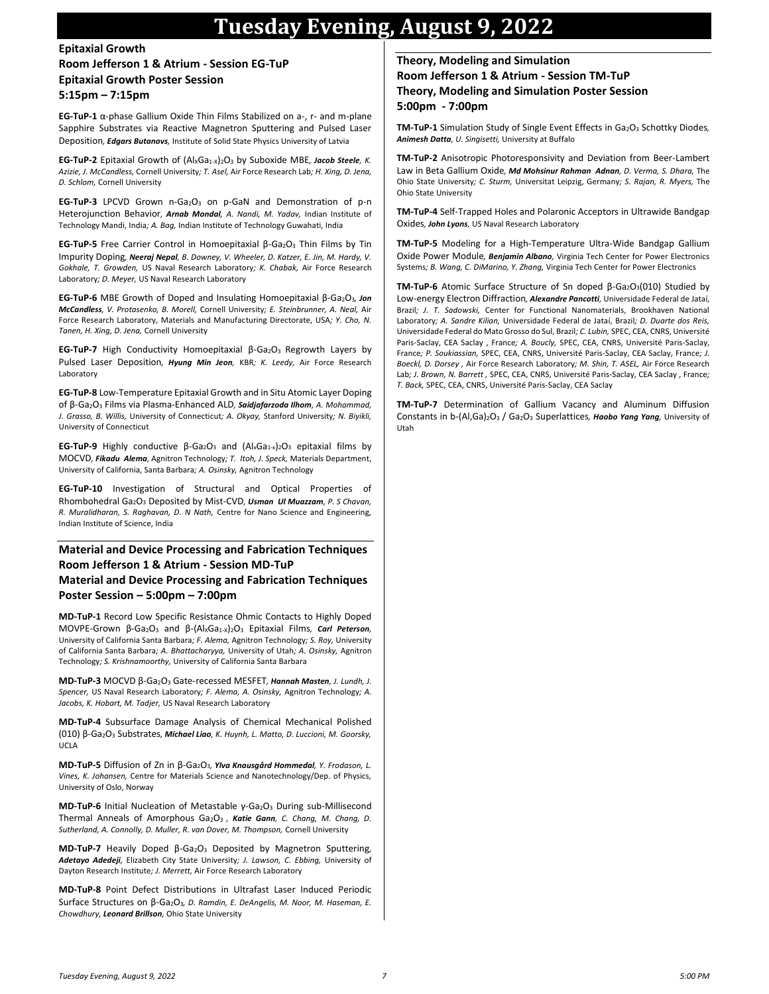## **Tuesday Evening, August 9, 2022**

#### **Epitaxial Growth Room Jefferson 1 & Atrium - Session EG-TuP Epitaxial Growth Poster Session 5:15pm – 7:15pm**

**EG-TuP-1** α-phase Gallium Oxide Thin Films Stabilized on a-, r- and m-plane Sapphire Substrates via Reactive Magnetron Sputtering and Pulsed Laser Deposition*, Edgars Butanovs,* Institute of Solid State Physics University of Latvia

**EG-TuP-2** Epitaxial Growth of (AlxGa<sub>1-X</sub>)<sub>2</sub>O<sub>3</sub> by Suboxide MBE, Jacob Steele, K. *Azizie, J. McCandless,* Cornell University*; T. Asel,* Air Force Research Lab*; H. Xing, D. Jena, D. Schlom,* Cornell University

**EG-TuP-3** LPCVD Grown n-Ga<sub>2</sub>O<sub>3</sub> on p-GaN and Demonstration of p-n Heterojunction Behavior*, Arnab Mondal, A. Nandi, M. Yadav,* Indian Institute of Technology Mandi, India*; A. Bag,* Indian Institute of Technology Guwahati, India

**EG-TuP-5** Free Carrier Control in Homoepitaxial β-Ga2O<sup>3</sup> Thin Films by Tin Impurity Doping*, Neeraj Nepal, B. Downey, V. Wheeler, D. Katzer, E. Jin, M. Hardy, V. Gokhale, T. Growden,* US Naval Research Laboratory*; K. Chabak,* Air Force Research Laboratory*; D. Meyer,* US Naval Research Laboratory

**EG-TuP-6** MBE Growth of Doped and Insulating Homoepitaxial β-Ga2O3*, Jon McCandless, V. Protasenko, B. Morell,* Cornell University*; E. Steinbrunner, A. Neal,* Air Force Research Laboratory, Materials and Manufacturing Directorate, USA*; Y. Cho, N. Tanen, H. Xing, D. Jena,* Cornell University

**EG-TuP-7** High Conductivity Homoepitaxial β-Ga<sub>2</sub>O<sub>3</sub> Regrowth Layers by Pulsed Laser Deposition*, Hyung Min Jeon,* KBR*; K. Leedy,* Air Force Research Laboratory

**EG-TuP-8** Low-Temperature Epitaxial Growth and in Situ Atomic Layer Doping of β-Ga2O<sup>3</sup> Films via Plasma-Enhanced ALD*, Saidjafarzoda Ilhom, A. Mohammad, J. Grasso, B. Willis,* University of Connecticut*; A. Okyay,* Stanford University*; N. Biyikli,*  University of Connecticut

**EG-TuP-9** Highly conductive β-Ga2O<sup>3</sup> and (AlxGa1-x)2O<sup>3</sup> epitaxial films by MOCVD*, Fikadu Alema,* Agnitron Technology*; T. Itoh, J. Speck,* Materials Department, University of California, Santa Barbara*; A. Osinsky,* Agnitron Technology

**EG-TuP-10** Investigation of Structural and Optical Properties of Rhombohedral Ga2O<sup>3</sup> Deposited by Mist-CVD*, Usman Ul Muazzam, P. S Chavan, R. Muralidharan, S. Raghavan, D. N Nath,* Centre for Nano Science and Engineering, Indian Institute of Science, India

### **Material and Device Processing and Fabrication Techniques Room Jefferson 1 & Atrium - Session MD-TuP**

#### **Material and Device Processing and Fabrication Techniques Poster Session – 5:00pm – 7:00pm**

**MD-TuP-1** Record Low Specific Resistance Ohmic Contacts to Highly Doped MOVPE-Grown β-Ga2O<sup>3</sup> and β-(AlXGa1-X)2O<sup>3</sup> Epitaxial Films*, Carl Peterson,*  University of California Santa Barbara*; F. Alema,* Agnitron Technology*; S. Roy,* University of California Santa Barbara*; A. Bhattacharyya,* University of Utah*; A. Osinsky,* Agnitron Technology*; S. Krishnamoorthy,* University of California Santa Barbara

**MD-TuP-3** MOCVD β-Ga2O<sup>3</sup> Gate-recessed MESFET*, Hannah Masten, J. Lundh, J. Spencer,* US Naval Research Laboratory*; F. Alema, A. Osinsky,* Agnitron Technology*; A. Jacobs, K. Hobart, M. Tadjer,* US Naval Research Laboratory

**MD-TuP-4** Subsurface Damage Analysis of Chemical Mechanical Polished (010) β-Ga2O<sup>3</sup> Substrates*, Michael Liao, K. Huynh, L. Matto, D. Luccioni, M. Goorsky,*  UCLA

**MD-TuP-5** Diffusion of Zn in β-Ga2O3*, Ylva Knausgård Hommedal, Y. Frodason, L. Vines, K. Johansen,* Centre for Materials Science and Nanotechnology/Dep. of Physics, University of Oslo, Norway

**MD-TuP-6** Initial Nucleation of Metastable γ-Ga<sub>2</sub>O<sub>3</sub> During sub-Millisecond Thermal Anneals of Amorphous Ga2O3 *, Katie Gann, C. Chang, M. Chang, D. Sutherland, A. Connolly, D. Muller, R. van Dover, M. Thompson,* Cornell University

**MD-TuP-7** Heavily Doped β-Ga2O<sup>3</sup> Deposited by Magnetron Sputtering*, Adetayo Adedeji,* Elizabeth City State University*; J. Lawson, C. Ebbing,* University of Dayton Research Institute*; J. Merrett,* Air Force Research Laboratory

**MD-TuP-8** Point Defect Distributions in Ultrafast Laser Induced Periodic Surface Structures on β-Ga2O3*, D. Ramdin, E. DeAngelis, M. Noor, M. Haseman, E. Chowdhury, Leonard Brillson,* Ohio State University

#### **Theory, Modeling and Simulation**

**Room Jefferson 1 & Atrium - Session TM-TuP Theory, Modeling and Simulation Poster Session 5:00pm - 7:00pm**

**TM-TuP-1** Simulation Study of Single Event Effects in Ga<sub>2</sub>O<sub>3</sub> Schottky Diodes, *Animesh Datta, U. Singisetti,* University at Buffalo

**TM-TuP-2** Anisotropic Photoresponsivity and Deviation from Beer-Lambert Law in Beta Gallium Oxide*, Md Mohsinur Rahman Adnan, D. Verma, S. Dhara,* The Ohio State University*; C. Sturm,* Universitat Leipzig, Germany*; S. Rajan, R. Myers,* The Ohio State University

**TM-TuP-4** Self-Trapped Holes and Polaronic Acceptors in Ultrawide Bandgap Oxides*, John Lyons,* US Naval Research Laboratory

**TM-TuP-5** Modeling for a High-Temperature Ultra-Wide Bandgap Gallium Oxide Power Module*, Benjamin Albano,* Virginia Tech Center for Power Electronics Systems*; B. Wang, C. DiMarino, Y. Zhang,* Virginia Tech Center for Power Electronics

TM-TuP-6 Atomic Surface Structure of Sn doped β-Ga<sub>2</sub>O<sub>3</sub>(010) Studied by Low-energy Electron Diffraction*, Alexandre Pancotti,* Universidade Federal de Jataí, Brazil*; J. T. Sadowski,* Center for Functional Nanomaterials, Brookhaven National Laboratory*; A. Sandre Kilian,* Universidade Federal de Jataí, Brazil*; D. Duarte dos Reis,*  Universidade Federal do Mato Grosso do Sul, Brazil*; C. Lubin,* SPEC, CEA, CNRS, Université Paris-Saclay, CEA Saclay , France*; A. Boucly,* SPEC, CEA, CNRS, Université Paris-Saclay, France*; P. Soukiassian,* SPEC, CEA, CNRS, Université Paris-Saclay, CEA Saclay, France*; J. Boeckl, D. Dorsey ,* Air Force Research Laboratory*; M. Shin, T. ASEL,* Air Force Research Lab*; J. Brown, N. Barrett ,* SPEC, CEA, CNRS, Université Paris-Saclay, CEA Saclay , France*; T. Back,* SPEC, CEA, CNRS, Université Paris-Saclay, CEA Saclay

**TM-TuP-7** Determination of Gallium Vacancy and Aluminum Diffusion Constants in b-(Al,Ga)2O<sup>3</sup> / Ga2O<sup>3</sup> Superlattices*, Haobo Yang Yang,* University of Utah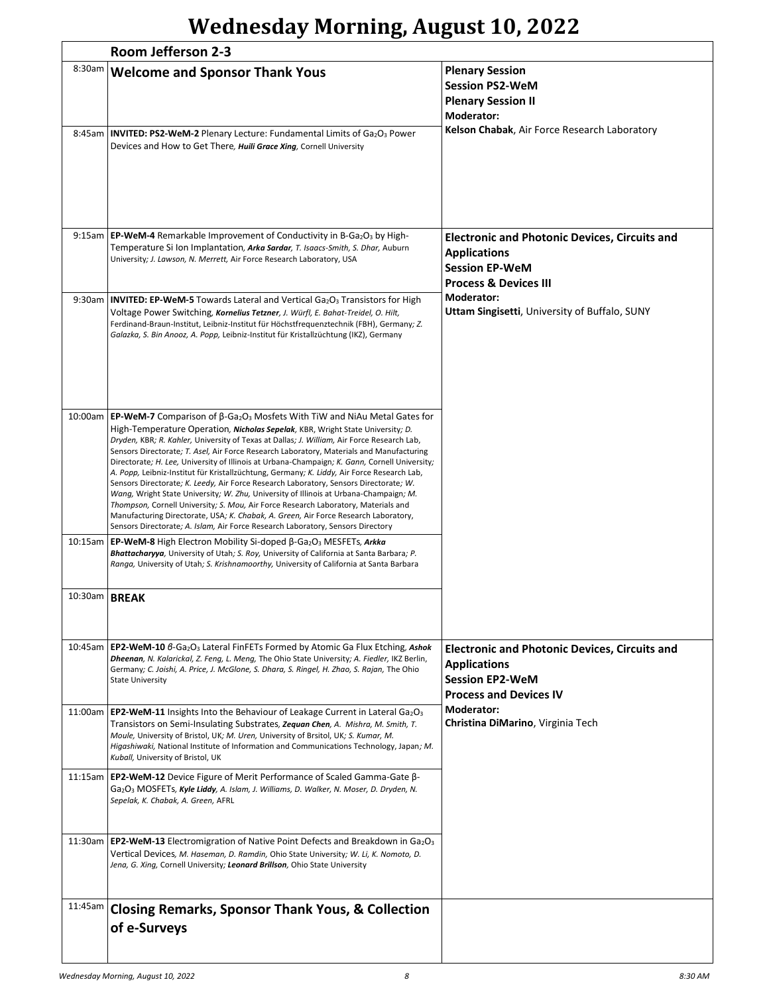# **Wednesday Morning, August 10, 2022**

|                        | Room Jefferson 2-3                                                                                                                                                                                                                                                                                                                                                                                                                                                                                                                                                                                                                                                                                                                                                                                                                                                                                                                                                                                                                                      |                                                                                                                                             |  |
|------------------------|---------------------------------------------------------------------------------------------------------------------------------------------------------------------------------------------------------------------------------------------------------------------------------------------------------------------------------------------------------------------------------------------------------------------------------------------------------------------------------------------------------------------------------------------------------------------------------------------------------------------------------------------------------------------------------------------------------------------------------------------------------------------------------------------------------------------------------------------------------------------------------------------------------------------------------------------------------------------------------------------------------------------------------------------------------|---------------------------------------------------------------------------------------------------------------------------------------------|--|
| 8:30am                 | <b>Welcome and Sponsor Thank Yous</b><br>8:45am   INVITED: PS2-WeM-2 Plenary Lecture: Fundamental Limits of Ga2O3 Power<br>Devices and How to Get There, Huili Grace Xing, Cornell University                                                                                                                                                                                                                                                                                                                                                                                                                                                                                                                                                                                                                                                                                                                                                                                                                                                           | <b>Plenary Session</b><br><b>Session PS2-WeM</b><br><b>Plenary Session II</b><br>Moderator:<br>Kelson Chabak, Air Force Research Laboratory |  |
|                        | 9:15am   EP-WeM-4 Remarkable Improvement of Conductivity in B-Ga <sub>2</sub> O <sub>3</sub> by High-<br>Temperature Si Ion Implantation, Arka Sardar, T. Isaacs-Smith, S. Dhar, Auburn<br>University; J. Lawson, N. Merrett, Air Force Research Laboratory, USA                                                                                                                                                                                                                                                                                                                                                                                                                                                                                                                                                                                                                                                                                                                                                                                        | <b>Electronic and Photonic Devices, Circuits and</b><br><b>Applications</b><br><b>Session EP-WeM</b><br><b>Process &amp; Devices III</b>    |  |
|                        | 9:30am <b>INVITED: EP-WeM-5</b> Towards Lateral and Vertical Ga <sub>2</sub> O <sub>3</sub> Transistors for High<br>Voltage Power Switching, Kornelius Tetzner, J. Würfl, E. Bahat-Treidel, O. Hilt,<br>Ferdinand-Braun-Institut, Leibniz-Institut für Höchstfrequenztechnik (FBH), Germany; Z.<br>Galazka, S. Bin Anooz, A. Popp, Leibniz-Institut für Kristallzüchtung (IKZ), Germany                                                                                                                                                                                                                                                                                                                                                                                                                                                                                                                                                                                                                                                                 | Moderator:<br>Uttam Singisetti, University of Buffalo, SUNY                                                                                 |  |
|                        | 10:00am   EP-WeM-7 Comparison of $\beta$ -Ga <sub>2</sub> O <sub>3</sub> Mosfets With TiW and NiAu Metal Gates for<br>High-Temperature Operation, <b>Nicholas Sepelak</b> , KBR, Wright State University; D.<br>Dryden, KBR; R. Kahler, University of Texas at Dallas; J. William, Air Force Research Lab,<br>Sensors Directorate; T. Asel, Air Force Research Laboratory, Materials and Manufacturing<br>Directorate; H. Lee, University of Illinois at Urbana-Champaign; K. Gann, Cornell University;<br>A. Popp, Leibniz-Institut für Kristallzüchtung, Germany; K. Liddy, Air Force Research Lab,<br>Sensors Directorate; K. Leedy, Air Force Research Laboratory, Sensors Directorate; W.<br>Wang, Wright State University; W. Zhu, University of Illinois at Urbana-Champaign; M.<br>Thompson, Cornell University; S. Mou, Air Force Research Laboratory, Materials and<br>Manufacturing Directorate, USA; K. Chabak, A. Green, Air Force Research Laboratory,<br>Sensors Directorate; A. Islam, Air Force Research Laboratory, Sensors Directory |                                                                                                                                             |  |
|                        | 10:15am   <b>EP-WeM-8</b> High Electron Mobility Si-doped β-Ga <sub>2</sub> O <sub>3</sub> MESFETs, <i>Arkka</i><br>Bhattacharyya, University of Utah; S. Roy, University of California at Santa Barbara; P.<br>Ranga, University of Utah; S. Krishnamoorthy, University of California at Santa Barbara                                                                                                                                                                                                                                                                                                                                                                                                                                                                                                                                                                                                                                                                                                                                                 |                                                                                                                                             |  |
| 10:30am   <b>BREAK</b> |                                                                                                                                                                                                                                                                                                                                                                                                                                                                                                                                                                                                                                                                                                                                                                                                                                                                                                                                                                                                                                                         |                                                                                                                                             |  |
|                        | 10:45am   EP2-WeM-10 6-Ga <sub>2</sub> O <sub>3</sub> Lateral FinFETs Formed by Atomic Ga Flux Etching, Ashok<br>Dheenan, N. Kalarickal, Z. Feng, L. Meng, The Ohio State University; A. Fiedler, IKZ Berlin,<br>Germany; C. Joishi, A. Price, J. McGlone, S. Dhara, S. Ringel, H. Zhao, S. Rajan, The Ohio<br><b>State University</b>                                                                                                                                                                                                                                                                                                                                                                                                                                                                                                                                                                                                                                                                                                                  | <b>Electronic and Photonic Devices, Circuits and</b><br><b>Applications</b><br><b>Session EP2-WeM</b><br><b>Process and Devices IV</b>      |  |
|                        | 11:00am   EP2-WeM-11 Insights Into the Behaviour of Leakage Current in Lateral Ga <sub>2</sub> O <sub>3</sub><br>Transistors on Semi-Insulating Substrates, Zequan Chen, A. Mishra, M. Smith, T.<br>Moule, University of Bristol, UK; M. Uren, University of Brsitol, UK; S. Kumar, M.<br>Higashiwaki, National Institute of Information and Communications Technology, Japan; M.<br>Kuball, University of Bristol, UK                                                                                                                                                                                                                                                                                                                                                                                                                                                                                                                                                                                                                                  | Moderator:<br><b>Christina DiMarino, Virginia Tech</b>                                                                                      |  |
|                        | 11:15am   EP2-WeM-12 Device Figure of Merit Performance of Scaled Gamma-Gate $\beta$ -<br>Ga <sub>2</sub> O <sub>3</sub> MOSFETs, Kyle Liddy, A. Islam, J. Williams, D. Walker, N. Moser, D. Dryden, N.<br>Sepelak, K. Chabak, A. Green, AFRL                                                                                                                                                                                                                                                                                                                                                                                                                                                                                                                                                                                                                                                                                                                                                                                                           |                                                                                                                                             |  |
|                        | 11:30am   EP2-WeM-13 Electromigration of Native Point Defects and Breakdown in $Ga2O3$<br>Vertical Devices, M. Haseman, D. Ramdin, Ohio State University; W. Li, K. Nomoto, D.<br>Jena, G. Xing, Cornell University; Leonard Brillson, Ohio State University                                                                                                                                                                                                                                                                                                                                                                                                                                                                                                                                                                                                                                                                                                                                                                                            |                                                                                                                                             |  |
| 11:45am                | <b>Closing Remarks, Sponsor Thank Yous, &amp; Collection</b><br>of e-Surveys                                                                                                                                                                                                                                                                                                                                                                                                                                                                                                                                                                                                                                                                                                                                                                                                                                                                                                                                                                            |                                                                                                                                             |  |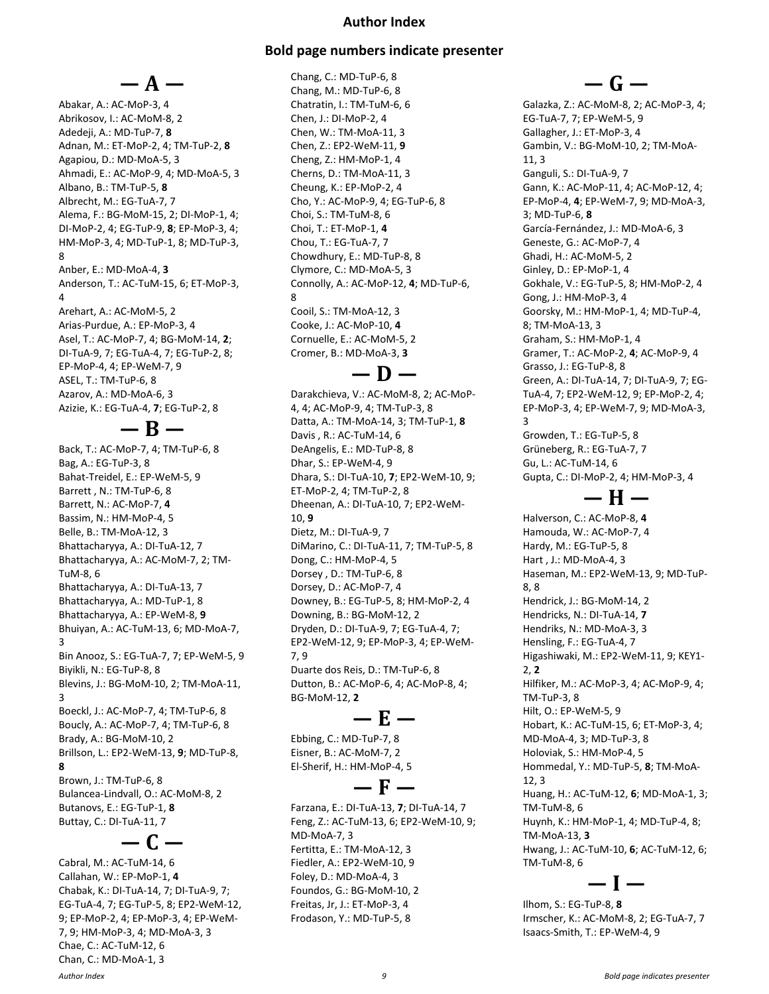#### **Author Index**

#### **Bold page numbers indicate presenter**

**— A —** Abakar, A.: AC-MoP-3, 4 Abrikosov, I.: AC-MoM-8, 2 Adedeji, A.: MD-TuP-7, **8** Adnan, M.: ET-MoP-2, 4; TM-TuP-2, **8** Agapiou, D.: MD-MoA-5, 3 Ahmadi, E.: AC-MoP-9, 4; MD-MoA-5, 3 Albano, B.: TM-TuP-5, **8** Albrecht, M.: EG-TuA-7, 7 Alema, F.: BG-MoM-15, 2; DI-MoP-1, 4; DI-MoP-2, 4; EG-TuP-9, **8**; EP-MoP-3, 4; HM-MoP-3, 4; MD-TuP-1, 8; MD-TuP-3, 8 Anber, E.: MD-MoA-4, **3** Anderson, T.: AC-TuM-15, 6; ET-MoP-3, 4 Arehart, A.: AC-MoM-5, 2 Arias-Purdue, A.: EP-MoP-3, 4 Asel, T.: AC-MoP-7, 4; BG-MoM-14, **2**; DI-TuA-9, 7; EG-TuA-4, 7; EG-TuP-2, 8; EP-MoP-4, 4; EP-WeM-7, 9 ASEL, T.: TM-TuP-6, 8 Azarov, A.: MD-MoA-6, 3 Azizie, K.: EG-TuA-4, **7**; EG-TuP-2, 8

**— B —**

Back, T.: AC-MoP-7, 4; TM-TuP-6, 8 Bag, A.: EG-TuP-3, 8 Bahat-Treidel, E.: EP-WeM-5, 9 Barrett , N.: TM-TuP-6, 8 Barrett, N.: AC-MoP-7, **4** Bassim, N.: HM-MoP-4, 5 Belle, B.: TM-MoA-12, 3 Bhattacharyya, A.: DI-TuA-12, 7 Bhattacharyya, A.: AC-MoM-7, 2; TM-TuM-8, 6 Bhattacharyya, A.: DI-TuA-13, 7 Bhattacharyya, A.: MD-TuP-1, 8 Bhattacharyya, A.: EP-WeM-8, **9** Bhuiyan, A.: AC-TuM-13, 6; MD-MoA-7, 3 Bin Anooz, S.: EG-TuA-7, 7; EP-WeM-5, 9 Biyikli, N.: EG-TuP-8, 8 Blevins, J.: BG-MoM-10, 2; TM-MoA-11, 3 Boeckl, J.: AC-MoP-7, 4; TM-TuP-6, 8 Boucly, A.: AC-MoP-7, 4; TM-TuP-6, 8 Brady, A.: BG-MoM-10, 2 Brillson, L.: EP2-WeM-13, **9**; MD-TuP-8, **8** Brown, J.: TM-TuP-6, 8 Bulancea-Lindvall, O.: AC-MoM-8, 2 Butanovs, E.: EG-TuP-1, **8** Buttay, C.: DI-TuA-11, 7

Cabral, M.: AC-TuM-14, 6 Callahan, W.: EP-MoP-1, **4** Chabak, K.: DI-TuA-14, 7; DI-TuA-9, 7; EG-TuA-4, 7; EG-TuP-5, 8; EP2-WeM-12, 9; EP-MoP-2, 4; EP-MoP-3, 4; EP-WeM-7, 9; HM-MoP-3, 4; MD-MoA-3, 3 Chae, C.: AC-TuM-12, 6 Chan, C.: MD-MoA-1, 3

**— C —**

Chang, C.: MD-TuP-6, 8 Chang, M.: MD-TuP-6, 8 Chatratin, I.: TM-TuM-6, 6 Chen, J.: DI-MoP-2, 4 Chen, W.: TM-MoA-11, 3 Chen, Z.: EP2-WeM-11, **9** Cheng, Z.: HM-MoP-1, 4 Cherns, D.: TM-MoA-11, 3 Cheung, K.: EP-MoP-2, 4 Cho, Y.: AC-MoP-9, 4; EG-TuP-6, 8 Choi, S.: TM-TuM-8, 6 Choi, T.: ET-MoP-1, **4** Chou, T.: EG-TuA-7, 7 Chowdhury, E.: MD-TuP-8, 8 Clymore, C.: MD-MoA-5, 3 Connolly, A.: AC-MoP-12, **4**; MD-TuP-6, 8 Cooil, S.: TM-MoA-12, 3 Cooke, J.: AC-MoP-10, **4** Cornuelle, E.: AC-MoM-5, 2 Cromer, B.: MD-MoA-3, **3**

### **— D —**

Darakchieva, V.: AC-MoM-8, 2; AC-MoP-4, 4; AC-MoP-9, 4; TM-TuP-3, 8 Datta, A.: TM-MoA-14, 3; TM-TuP-1, **8** Davis , R.: AC-TuM-14, 6 DeAngelis, E.: MD-TuP-8, 8 Dhar, S.: EP-WeM-4, 9 Dhara, S.: DI-TuA-10, **7**; EP2-WeM-10, 9; ET-MoP-2, 4; TM-TuP-2, 8 Dheenan, A.: DI-TuA-10, 7; EP2-WeM-10, **9** Dietz, M.: DI-TuA-9, 7 DiMarino, C.: DI-TuA-11, 7; TM-TuP-5, 8 Dong, C.: HM-MoP-4, 5 Dorsey , D.: TM-TuP-6, 8 Dorsey, D.: AC-MoP-7, 4 Downey, B.: EG-TuP-5, 8; HM-MoP-2, 4 Downing, B.: BG-MoM-12, 2 Dryden, D.: DI-TuA-9, 7; EG-TuA-4, 7; EP2-WeM-12, 9; EP-MoP-3, 4; EP-WeM-7, 9 Duarte dos Reis, D.: TM-TuP-6, 8 Dutton, B.: AC-MoP-6, 4; AC-MoP-8, 4; BG-MoM-12, **2**

### **— E —**

**— F —**

Ebbing, C.: MD-TuP-7, 8 Eisner, B.: AC-MoM-7, 2 El-Sherif, H.: HM-MoP-4, 5

Farzana, E.: DI-TuA-13, **7**; DI-TuA-14, 7 Feng, Z.: AC-TuM-13, 6; EP2-WeM-10, 9; MD-MoA-7, 3 Fertitta, E.: TM-MoA-12, 3 Fiedler, A.: EP2-WeM-10, 9 Foley, D.: MD-MoA-4, 3 Foundos, G.: BG-MoM-10, 2 Freitas, Jr, J.: ET-MoP-3, 4 Frodason, Y.: MD-TuP-5, 8

### **— G —**

Galazka, Z.: AC-MoM-8, 2; AC-MoP-3, 4; EG-TuA-7, 7; EP-WeM-5, 9 Gallagher, J.: ET-MoP-3, 4 Gambin, V.: BG-MoM-10, 2; TM-MoA-11, 3 Ganguli, S.: DI-TuA-9, 7 Gann, K.: AC-MoP-11, 4; AC-MoP-12, 4; EP-MoP-4, **4**; EP-WeM-7, 9; MD-MoA-3, 3; MD-TuP-6, **8** García-Fernández, J.: MD-MoA-6, 3 Geneste, G.: AC-MoP-7, 4 Ghadi, H.: AC-MoM-5, 2 Ginley, D.: EP-MoP-1, 4 Gokhale, V.: EG-TuP-5, 8; HM-MoP-2, 4 Gong, J.: HM-MoP-3, 4 Goorsky, M.: HM-MoP-1, 4; MD-TuP-4, 8; TM-MoA-13, 3 Graham, S.: HM-MoP-1, 4 Gramer, T.: AC-MoP-2, **4**; AC-MoP-9, 4 Grasso, J.: EG-TuP-8, 8 Green, A.: DI-TuA-14, 7; DI-TuA-9, 7; EG-TuA-4, 7; EP2-WeM-12, 9; EP-MoP-2, 4; EP-MoP-3, 4; EP-WeM-7, 9; MD-MoA-3, 3 Growden, T.: EG-TuP-5, 8 Grüneberg, R.: EG-TuA-7, 7 Gu, L.: AC-TuM-14, 6 Gupta, C.: DI-MoP-2, 4; HM-MoP-3, 4

**— H —**

Halverson, C.: AC-MoP-8, **4** Hamouda, W.: AC-MoP-7, 4 Hardy, M.: EG-TuP-5, 8 Hart , J.: MD-MoA-4, 3 Haseman, M.: EP2-WeM-13, 9; MD-TuP-8, 8 Hendrick, J.: BG-MoM-14, 2 Hendricks, N.: DI-TuA-14, **7** Hendriks, N.: MD-MoA-3, 3 Hensling, F.: EG-TuA-4, 7 Higashiwaki, M.: EP2-WeM-11, 9; KEY1- 2, **2** Hilfiker, M.: AC-MoP-3, 4; AC-MoP-9, 4; TM-TuP-3, 8 Hilt, O.: EP-WeM-5, 9 Hobart, K.: AC-TuM-15, 6; ET-MoP-3, 4; MD-MoA-4, 3; MD-TuP-3, 8 Holoviak, S.: HM-MoP-4, 5 Hommedal, Y.: MD-TuP-5, **8**; TM-MoA-12, 3 Huang, H.: AC-TuM-12, **6**; MD-MoA-1, 3; TM-TuM-8, 6 Huynh, K.: HM-MoP-1, 4; MD-TuP-4, 8; TM-MoA-13, **3** Hwang, J.: AC-TuM-10, **6**; AC-TuM-12, 6; TM-TuM-8, 6 **— I —**

Ilhom, S.: EG-TuP-8, **8** Irmscher, K.: AC-MoM-8, 2; EG-TuA-7, 7 Isaacs-Smith, T.: EP-WeM-4, 9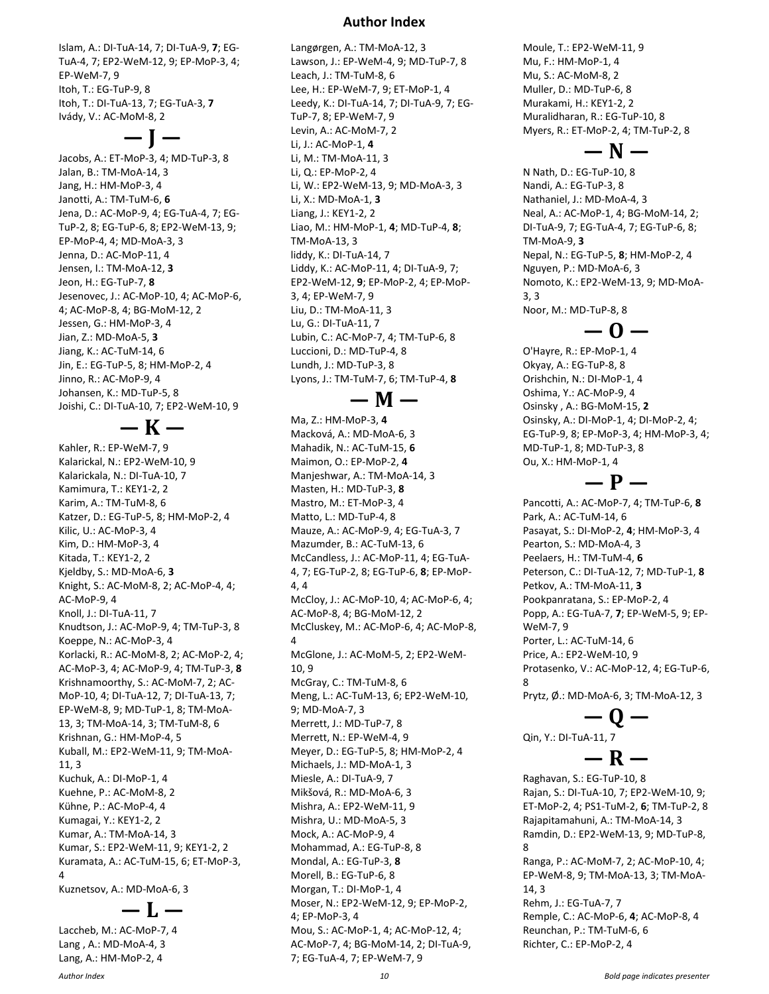Islam, A.: DI-TuA-14, 7; DI-TuA-9, **7**; EG-TuA-4, 7; EP2-WeM-12, 9; EP-MoP-3, 4; EP-WeM-7, 9 Itoh, T.: EG-TuP-9, 8 Itoh, T.: DI-TuA-13, 7; EG-TuA-3, **7** Ivády, V.: AC-MoM-8, 2

**— J —**

Jacobs, A.: ET-MoP-3, 4; MD-TuP-3, 8 Jalan, B.: TM-MoA-14, 3 Jang, H.: HM-MoP-3, 4 Janotti, A.: TM-TuM-6, **6** Jena, D.: AC-MoP-9, 4; EG-TuA-4, 7; EG-TuP-2, 8; EG-TuP-6, 8; EP2-WeM-13, 9; EP-MoP-4, 4; MD-MoA-3, 3 Jenna, D.: AC-MoP-11, 4 Jensen, I.: TM-MoA-12, **3** Jeon, H.: EG-TuP-7, **8** Jesenovec, J.: AC-MoP-10, 4; AC-MoP-6, 4; AC-MoP-8, 4; BG-MoM-12, 2 Jessen, G.: HM-MoP-3, 4 Jian, Z.: MD-MoA-5, **3** Jiang, K.: AC-TuM-14, 6 Jin, E.: EG-TuP-5, 8; HM-MoP-2, 4 Jinno, R.: AC-MoP-9, 4 Johansen, K.: MD-TuP-5, 8 Joishi, C.: DI-TuA-10, 7; EP2-WeM-10, 9

**— K —**

Kahler, R.: EP-WeM-7, 9 Kalarickal, N.: EP2-WeM-10, 9 Kalarickala, N.: DI-TuA-10, 7 Kamimura, T.: KEY1-2, 2 Karim, A.: TM-TuM-8, 6 Katzer, D.: EG-TuP-5, 8; HM-MoP-2, 4 Kilic, U.: AC-MoP-3, 4 Kim, D.: HM-MoP-3, 4 Kitada, T.: KEY1-2, 2 Kjeldby, S.: MD-MoA-6, **3** Knight, S.: AC-MoM-8, 2; AC-MoP-4, 4; AC-MoP-9, 4 Knoll, J.: DI-TuA-11, 7 Knudtson, J.: AC-MoP-9, 4; TM-TuP-3, 8 Koeppe, N.: AC-MoP-3, 4 Korlacki, R.: AC-MoM-8, 2; AC-MoP-2, 4; AC-MoP-3, 4; AC-MoP-9, 4; TM-TuP-3, **8** Krishnamoorthy, S.: AC-MoM-7, 2; AC-MoP-10, 4; DI-TuA-12, 7; DI-TuA-13, 7; EP-WeM-8, 9; MD-TuP-1, 8; TM-MoA-13, 3; TM-MoA-14, 3; TM-TuM-8, 6 Krishnan, G.: HM-MoP-4, 5 Kuball, M.: EP2-WeM-11, 9; TM-MoA-11, 3 Kuchuk, A.: DI-MoP-1, 4 Kuehne, P.: AC-MoM-8, 2 Kühne, P.: AC-MoP-4, 4 Kumagai, Y.: KEY1-2, 2 Kumar, A.: TM-MoA-14, 3 Kumar, S.: EP2-WeM-11, 9; KEY1-2, 2 Kuramata, A.: AC-TuM-15, 6; ET-MoP-3, 4 Kuznetsov, A.: MD-MoA-6, 3

### **— L —**

Laccheb, M.: AC-MoP-7, 4 Lang , A.: MD-MoA-4, 3 Lang, A.: HM-MoP-2, 4

#### **Author Index**

Langørgen, A.: TM-MoA-12, 3 Lawson, J.: EP-WeM-4, 9; MD-TuP-7, 8 Leach, J.: TM-TuM-8, 6 Lee, H.: EP-WeM-7, 9; ET-MoP-1, 4 Leedy, K.: DI-TuA-14, 7; DI-TuA-9, 7; EG-TuP-7, 8; EP-WeM-7, 9 Levin, A.: AC-MoM-7, 2 Li, J.: AC-MoP-1, **4** Li, M.: TM-MoA-11, 3 Li, Q.: EP-MoP-2, 4 Li, W.: EP2-WeM-13, 9; MD-MoA-3, 3 Li, X.: MD-MoA-1, **3** Liang, J.: KEY1-2, 2 Liao, M.: HM-MoP-1, **4**; MD-TuP-4, **8**; TM-MoA-13, 3 liddy, K.: DI-TuA-14, 7 Liddy, K.: AC-MoP-11, 4; DI-TuA-9, 7; EP2-WeM-12, **9**; EP-MoP-2, 4; EP-MoP-3, 4; EP-WeM-7, 9 Liu, D.: TM-MoA-11, 3 Lu, G.: DI-TuA-11, 7 Lubin, C.: AC-MoP-7, 4; TM-TuP-6, 8 Luccioni, D.: MD-TuP-4, 8 Lundh, J.: MD-TuP-3, 8 Lyons, J.: TM-TuM-7, 6; TM-TuP-4, **8**

**— M —**

Ma, Z.: HM-MoP-3, **4** Macková, A.: MD-MoA-6, 3 Mahadik, N.: AC-TuM-15, **6** Maimon, O.: EP-MoP-2, **4** Manjeshwar, A.: TM-MoA-14, 3 Masten, H.: MD-TuP-3, **8** Mastro, M.: ET-MoP-3, 4 Matto, L.: MD-TuP-4, 8 Mauze, A.: AC-MoP-9, 4; EG-TuA-3, 7 Mazumder, B.: AC-TuM-13, 6 McCandless, J.: AC-MoP-11, 4; EG-TuA-4, 7; EG-TuP-2, 8; EG-TuP-6, **8**; EP-MoP-4, 4 McCloy, J.: AC-MoP-10, 4; AC-MoP-6, 4; AC-MoP-8, 4; BG-MoM-12, 2 McCluskey, M.: AC-MoP-6, 4; AC-MoP-8, 4 McGlone, J.: AC-MoM-5, 2; EP2-WeM-10, 9 McGray, C.: TM-TuM-8, 6 Meng, L.: AC-TuM-13, 6; EP2-WeM-10, 9; MD-MoA-7, 3 Merrett, J.: MD-TuP-7, 8 Merrett, N.: EP-WeM-4, 9 Meyer, D.: EG-TuP-5, 8; HM-MoP-2, 4 Michaels, J.: MD-MoA-1, 3 Miesle, A.: DI-TuA-9, 7 Mikšová, R.: MD-MoA-6, 3 Mishra, A.: EP2-WeM-11, 9 Mishra, U.: MD-MoA-5, 3 Mock, A.: AC-MoP-9, 4 Mohammad, A.: EG-TuP-8, 8 Mondal, A.: EG-TuP-3, **8** Morell, B.: EG-TuP-6, 8 Morgan, T.: DI-MoP-1, 4 Moser, N.: EP2-WeM-12, 9; EP-MoP-2, 4; EP-MoP-3, 4 Mou, S.: AC-MoP-1, 4; AC-MoP-12, 4; AC-MoP-7, 4; BG-MoM-14, 2; DI-TuA-9,

Moule, T.: EP2-WeM-11, 9 Mu, F.: HM-MoP-1, 4 Mu, S.: AC-MoM-8, 2 Muller, D.: MD-TuP-6, 8 Murakami, H.: KEY1-2, 2 Muralidharan, R.: EG-TuP-10, 8 Myers, R.: ET-MoP-2, 4; TM-TuP-2, 8

### **— N —**

N Nath, D.: EG-TuP-10, 8 Nandi, A.: EG-TuP-3, 8 Nathaniel, J.: MD-MoA-4, 3 Neal, A.: AC-MoP-1, 4; BG-MoM-14, 2; DI-TuA-9, 7; EG-TuA-4, 7; EG-TuP-6, 8; TM-MoA-9, **3** Nepal, N.: EG-TuP-5, **8**; HM-MoP-2, 4 Nguyen, P.: MD-MoA-6, 3 Nomoto, K.: EP2-WeM-13, 9; MD-MoA-3, 3 Noor, M.: MD-TuP-8, 8

**— O —**

O'Hayre, R.: EP-MoP-1, 4 Okyay, A.: EG-TuP-8, 8 Orishchin, N.: DI-MoP-1, 4 Oshima, Y.: AC-MoP-9, 4 Osinsky , A.: BG-MoM-15, **2** Osinsky, A.: DI-MoP-1, 4; DI-MoP-2, 4; EG-TuP-9, 8; EP-MoP-3, 4; HM-MoP-3, 4; MD-TuP-1, 8; MD-TuP-3, 8 Ou, X.: HM-MoP-1, 4

**— P —**

Pancotti, A.: AC-MoP-7, 4; TM-TuP-6, **8** Park, A.: AC-TuM-14, 6 Pasayat, S.: DI-MoP-2, **4**; HM-MoP-3, 4 Pearton, S.: MD-MoA-4, 3 Peelaers, H.: TM-TuM-4, **6** Peterson, C.: DI-TuA-12, 7; MD-TuP-1, **8** Petkov, A.: TM-MoA-11, **3** Pookpanratana, S.: EP-MoP-2, 4 Popp, A.: EG-TuA-7, **7**; EP-WeM-5, 9; EP-WeM-7, 9 Porter, L.: AC-TuM-14, 6 Price, A.: EP2-WeM-10, 9 Protasenko, V.: AC-MoP-12, 4; EG-TuP-6, 8

Prytz, Ø.: MD-MoA-6, 3; TM-MoA-12, 3

**— Q —** Qin, Y.: DI-TuA-11, 7

## **— R —**

Raghavan, S.: EG-TuP-10, 8 Rajan, S.: DI-TuA-10, 7; EP2-WeM-10, 9; ET-MoP-2, 4; PS1-TuM-2, **6**; TM-TuP-2, 8 Rajapitamahuni, A.: TM-MoA-14, 3 Ramdin, D.: EP2-WeM-13, 9; MD-TuP-8, 8 Ranga, P.: AC-MoM-7, 2; AC-MoP-10, 4; EP-WeM-8, 9; TM-MoA-13, 3; TM-MoA-14, 3 Rehm, J.: EG-TuA-7, 7 Remple, C.: AC-MoP-6, **4**; AC-MoP-8, 4 Reunchan, P.: TM-TuM-6, 6 Richter, C.: EP-MoP-2, 4

7; EG-TuA-4, 7; EP-WeM-7, 9